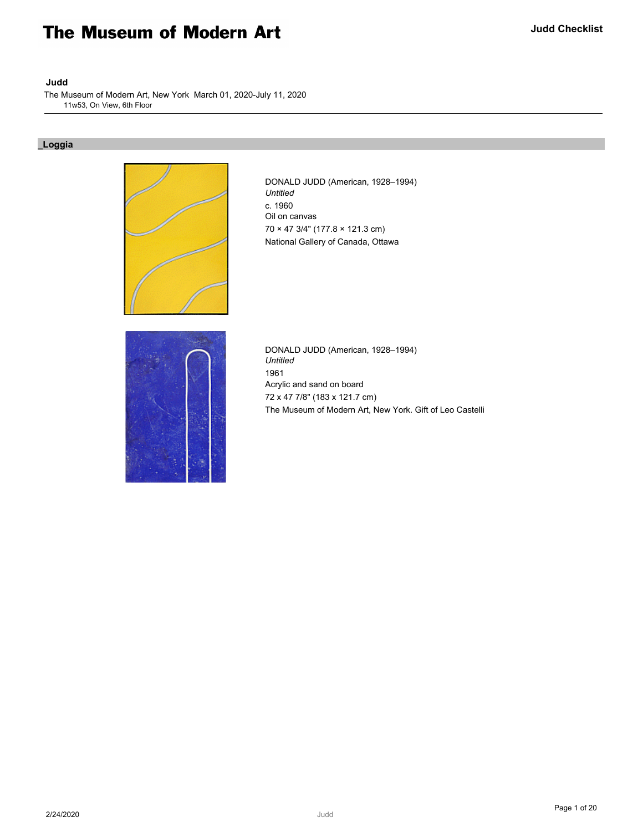# The Museum of Modern Art

# **Judd**

The Museum of Modern Art, New York March 01, 2020-July 11, 2020 11w53, On View, 6th Floor

# **\_Loggia**



DONALD JUDD (American, 1928–1994) *Untitled* c. 1960 Oil on canvas 70 × 47 3/4" (177.8 × 121.3 cm) National Gallery of Canada, Ottawa



DONALD JUDD (American, 1928–1994) *Untitled* 1961 Acrylic and sand on board 72 x 47 7/8" (183 x 121.7 cm) The Museum of Modern Art, New York. Gift of Leo Castelli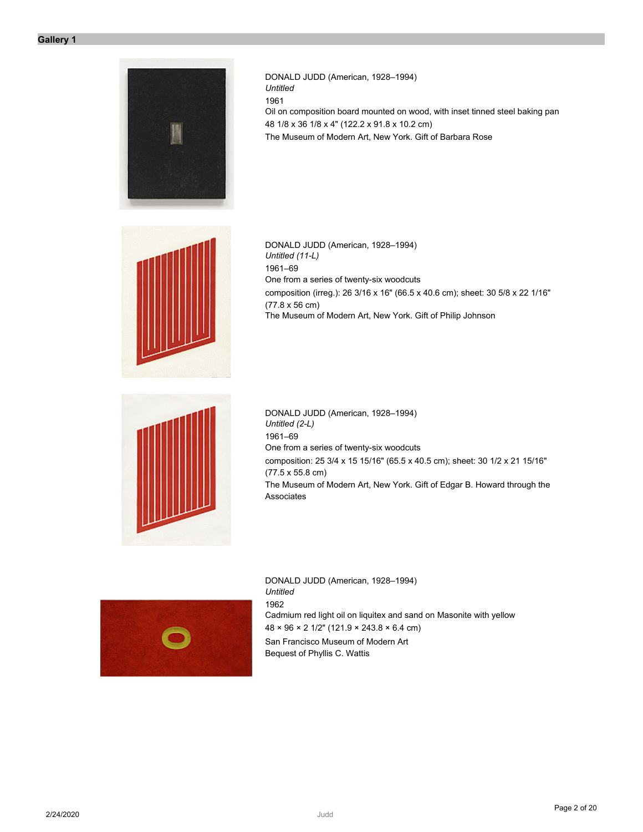

DONALD JUDD (American, 1928–1994) *Untitled* 1961 Oil on composition board mounted on wood, with inset tinned steel baking pan 48 1/8 x 36 1/8 x 4" (122.2 x 91.8 x 10.2 cm) The Museum of Modern Art, New York. Gift of Barbara Rose



DONALD JUDD (American, 1928–1994) *Untitled (11-L)* 1961–69 One from a series of twenty-six woodcuts composition (irreg.): 26 3/16 x 16" (66.5 x 40.6 cm); sheet: 30 5/8 x 22 1/16" (77.8 x 56 cm) The Museum of Modern Art, New York. Gift of Philip Johnson



DONALD JUDD (American, 1928–1994) *Untitled (2-L)* 1961–69 One from a series of twenty-six woodcuts composition: 25 3/4 x 15 15/16" (65.5 x 40.5 cm); sheet: 30 1/2 x 21 15/16" (77.5 x 55.8 cm) The Museum of Modern Art, New York. Gift of Edgar B. Howard through the Associates



DONALD JUDD (American, 1928–1994) *Untitled* 1962 Cadmium red light oil on liquitex and sand on Masonite with yellow 48 × 96 × 2 1/2" (121.9 × 243.8 × 6.4 cm) San Francisco Museum of Modern Art Bequest of Phyllis C. Wattis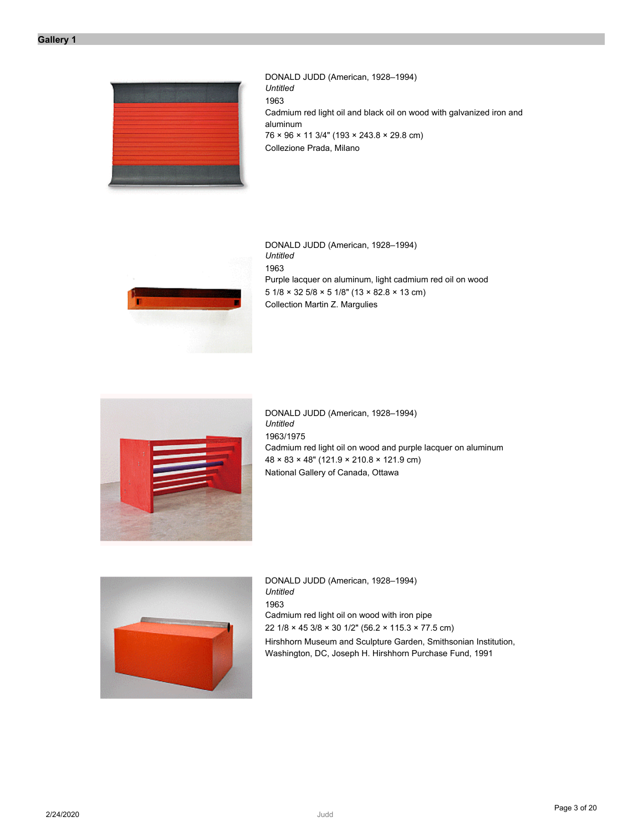

DONALD JUDD (American, 1928–1994) *Untitled* 1963 Cadmium red light oil and black oil on wood with galvanized iron and aluminum 76 × 96 × 11 3/4" (193 × 243.8 × 29.8 cm) Collezione Prada, Milano



DONALD JUDD (American, 1928–1994) *Untitled* 1963 Purple lacquer on aluminum, light cadmium red oil on wood 5 1/8 × 32 5/8 × 5 1/8" (13 × 82.8 × 13 cm) Collection Martin Z. Margulies



DONALD JUDD (American, 1928–1994) *Untitled* 1963/1975 Cadmium red light oil on wood and purple lacquer on aluminum 48 × 83 × 48" (121.9 × 210.8 × 121.9 cm) National Gallery of Canada, Ottawa



DONALD JUDD (American, 1928–1994) *Untitled* 1963 Cadmium red light oil on wood with iron pipe 22 1/8 × 45 3/8 × 30 1/2" (56.2 × 115.3 × 77.5 cm) Hirshhorn Museum and Sculpture Garden, Smithsonian Institution, Washington, DC, Joseph H. Hirshhorn Purchase Fund, 1991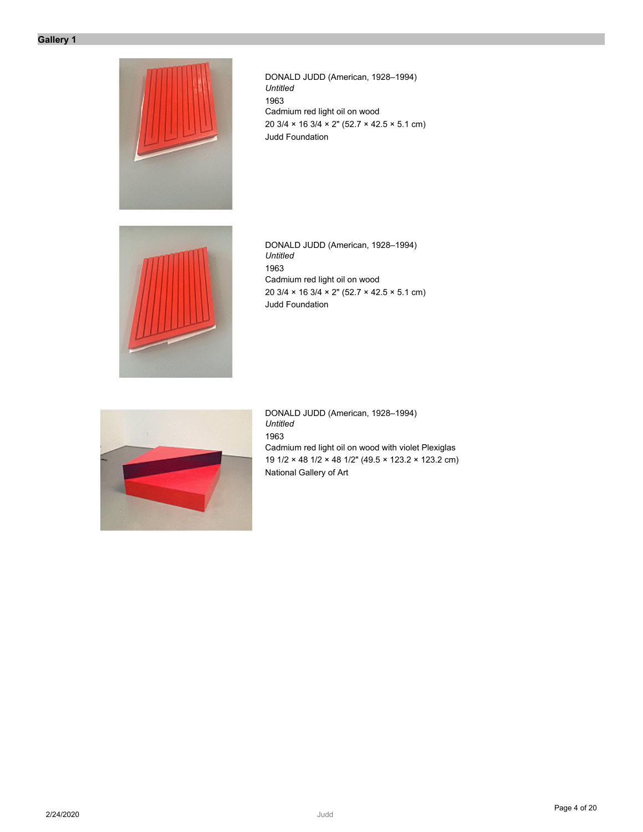

DONALD JUDD (American, 1928–1994) *Untitled* 1963 Cadmium red light oil on wood 20 3/4 × 16 3/4 × 2" (52.7 × 42.5 × 5.1 cm) Judd Foundation



DONALD JUDD (American, 1928–1994) *Untitled* 1963 Cadmium red light oil on wood 20 3/4 × 16 3/4 × 2" (52.7 × 42.5 × 5.1 cm) Judd Foundation



DONALD JUDD (American, 1928–1994) *Untitled* 1963 Cadmium red light oil on wood with violet Plexiglas 19 1/2 × 48 1/2 × 48 1/2" (49.5 × 123.2 × 123.2 cm) National Gallery of Art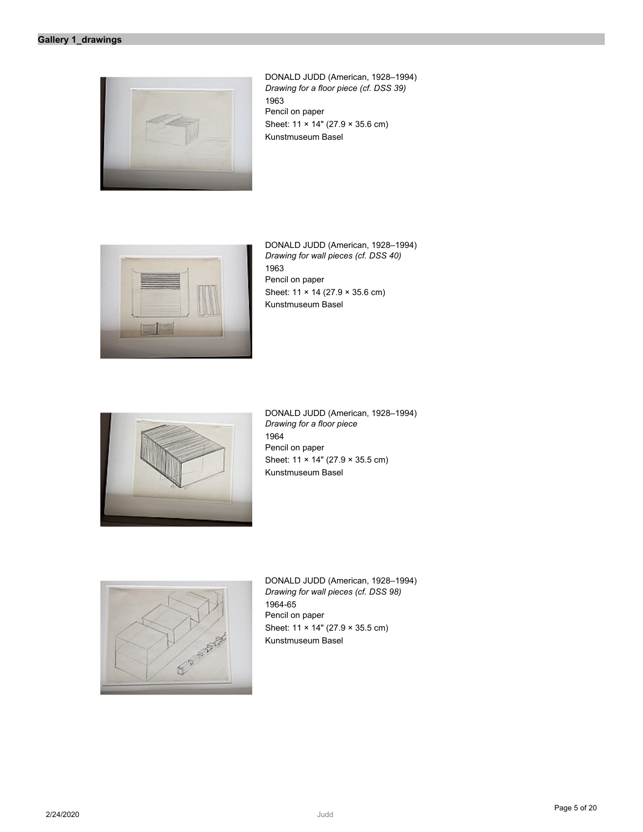

DONALD JUDD (American, 1928–1994) *Drawing for a floor piece (cf. DSS 39)* 1963 Pencil on paper Sheet: 11 × 14" (27.9 × 35.6 cm) Kunstmuseum Basel



DONALD JUDD (American, 1928–1994) *Drawing for wall pieces (cf. DSS 40)* 1963 Pencil on paper Sheet: 11 × 14 (27.9 × 35.6 cm) Kunstmuseum Basel



DONALD JUDD (American, 1928–1994) *Drawing for a floor piece* 1964 Pencil on paper Sheet: 11 × 14" (27.9 × 35.5 cm) Kunstmuseum Basel



DONALD JUDD (American, 1928–1994) *Drawing for wall pieces (cf. DSS 98)* 1964-65 Pencil on paper Sheet: 11 × 14" (27.9 × 35.5 cm) Kunstmuseum Basel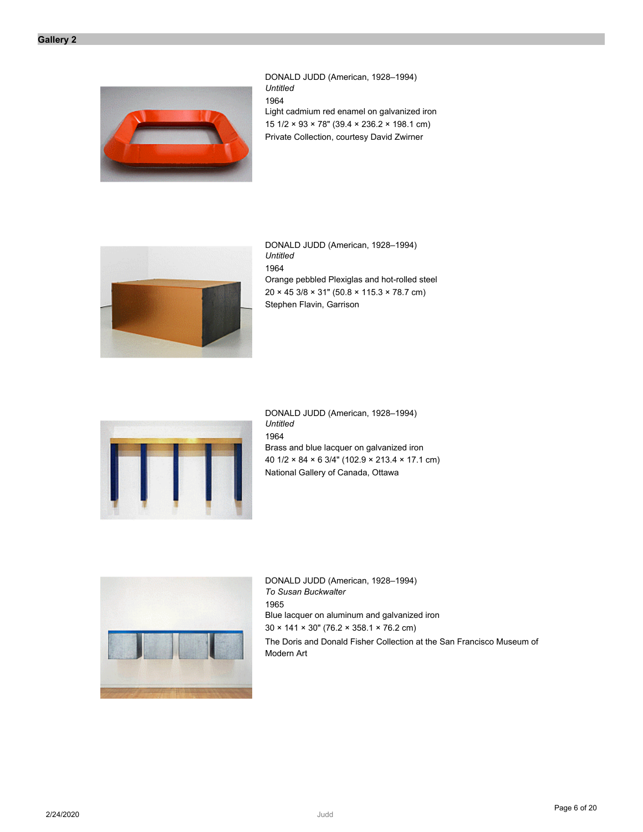

DONALD JUDD (American, 1928–1994) *Untitled* 1964 Light cadmium red enamel on galvanized iron 15 1/2 × 93 × 78" (39.4 × 236.2 × 198.1 cm) Private Collection, courtesy David Zwirner



DONALD JUDD (American, 1928–1994) *Untitled* 1964 Orange pebbled Plexiglas and hot-rolled steel 20 × 45 3/8 × 31" (50.8 × 115.3 × 78.7 cm) Stephen Flavin, Garrison



DONALD JUDD (American, 1928–1994) *Untitled* 1964 Brass and blue lacquer on galvanized iron 40 1/2 × 84 × 6 3/4" (102.9 × 213.4 × 17.1 cm) National Gallery of Canada, Ottawa



DONALD JUDD (American, 1928–1994) *To Susan Buckwalter* 1965 Blue lacquer on aluminum and galvanized iron 30 × 141 × 30" (76.2 × 358.1 × 76.2 cm) The Doris and Donald Fisher Collection at the San Francisco Museum of Modern Art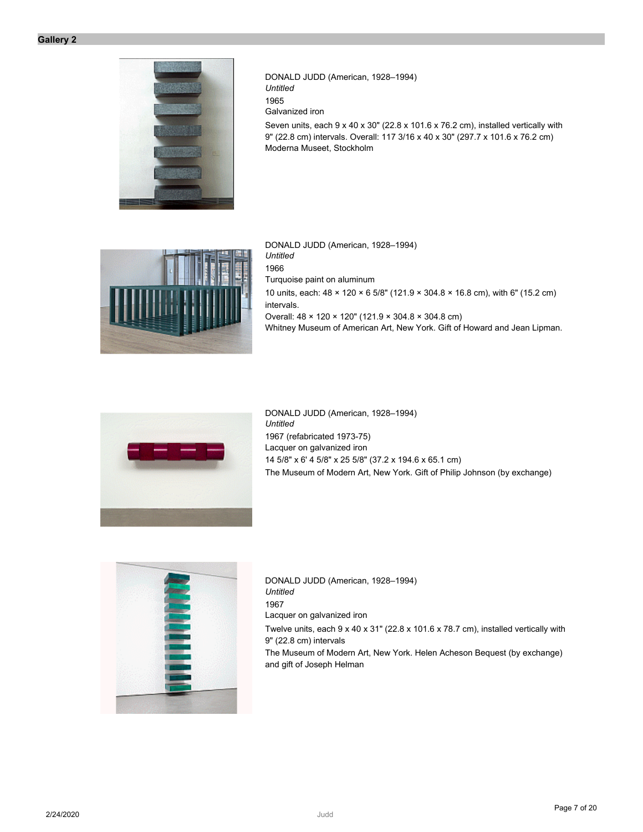

DONALD JUDD (American, 1928–1994) *Untitled* 1965 Galvanized iron Seven units, each 9 x 40 x 30" (22.8 x 101.6 x 76.2 cm), installed vertically with 9" (22.8 cm) intervals. Overall: 117 3/16 x 40 x 30" (297.7 x 101.6 x 76.2 cm) Moderna Museet, Stockholm



DONALD JUDD (American, 1928–1994) *Untitled* 1966 Turquoise paint on aluminum 10 units, each: 48 × 120 × 6 5/8" (121.9 × 304.8 × 16.8 cm), with 6" (15.2 cm) intervals. Overall: 48 × 120 × 120" (121.9 × 304.8 × 304.8 cm) Whitney Museum of American Art, New York. Gift of Howard and Jean Lipman.



DONALD JUDD (American, 1928–1994) *Untitled* 1967 (refabricated 1973-75) Lacquer on galvanized iron 14 5/8" x 6' 4 5/8" x 25 5/8" (37.2 x 194.6 x 65.1 cm) The Museum of Modern Art, New York. Gift of Philip Johnson (by exchange)



DONALD JUDD (American, 1928–1994) *Untitled* 1967 Lacquer on galvanized iron Twelve units, each 9 x 40 x 31" (22.8 x 101.6 x 78.7 cm), installed vertically with 9" (22.8 cm) intervals The Museum of Modern Art, New York. Helen Acheson Bequest (by exchange) and gift of Joseph Helman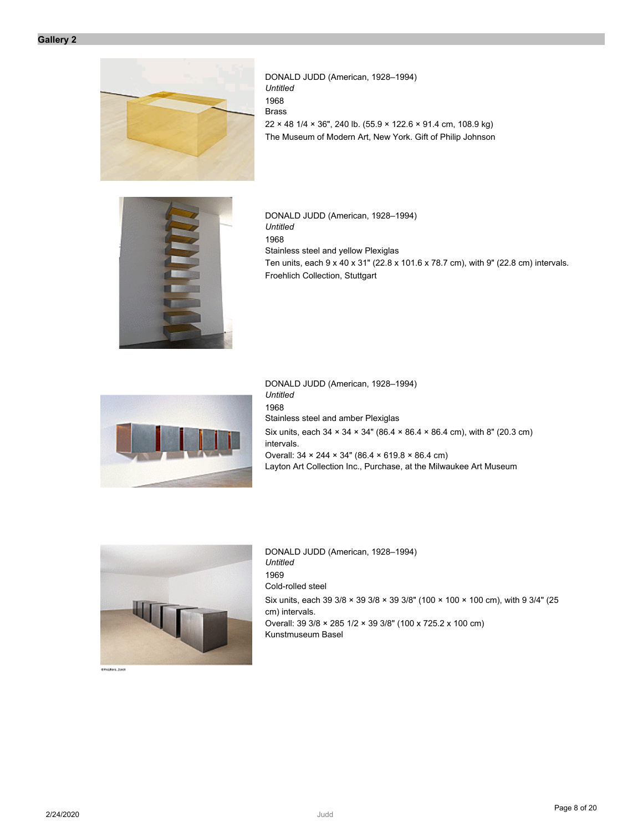

DONALD JUDD (American, 1928–1994) *Untitled* 1968 Brass 22 × 48 1/4 × 36", 240 lb. (55.9 × 122.6 × 91.4 cm, 108.9 kg) The Museum of Modern Art, New York. Gift of Philip Johnson



DONALD JUDD (American, 1928–1994) *Untitled* 1968 Stainless steel and yellow Plexiglas Ten units, each 9 x 40 x 31" (22.8 x 101.6 x 78.7 cm), with 9" (22.8 cm) intervals. Froehlich Collection, Stuttgart



DONALD JUDD (American, 1928–1994) *Untitled* 1968 Stainless steel and amber Plexiglas Six units, each 34 × 34 × 34" (86.4 × 86.4 × 86.4 cm), with 8" (20.3 cm) intervals. Overall: 34 × 244 × 34" (86.4 × 619.8 × 86.4 cm) Layton Art Collection Inc., Purchase, at the Milwaukee Art Museum



chance.com

DONALD JUDD (American, 1928–1994) *Untitled* 1969 Cold-rolled steel Six units, each 39 3/8 × 39 3/8 × 39 3/8" (100 × 100 × 100 cm), with 9 3/4" (25 cm) intervals. Overall: 39 3/8 × 285 1/2 × 39 3/8" (100 x 725.2 x 100 cm) Kunstmuseum Basel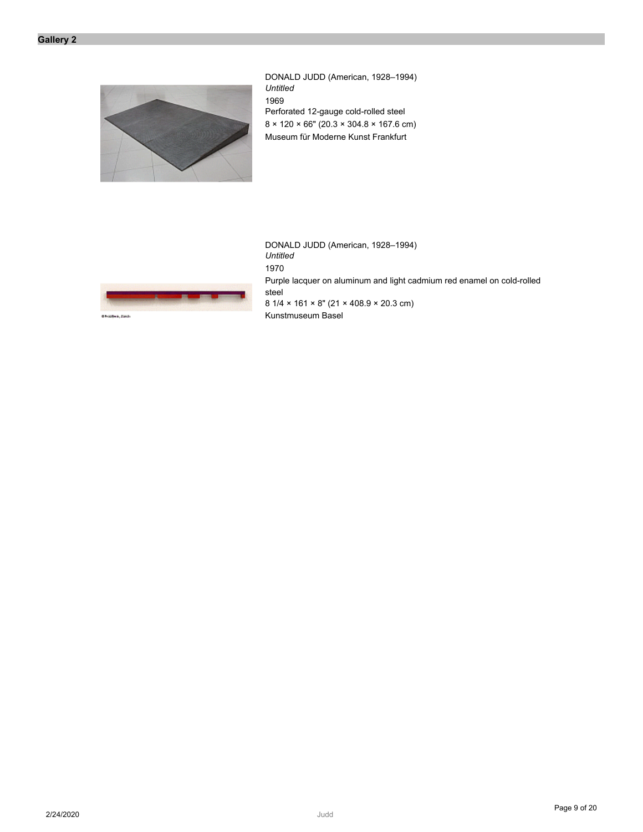

DONALD JUDD (American, 1928–1994) *Untitled* 1969 Perforated 12-gauge cold-rolled steel 8 × 120 × 66" (20.3 × 304.8 × 167.6 cm) Museum für Moderne Kunst Frankfurt



DONALD JUDD (American, 1928–1994) *Untitled* 1970 Purple lacquer on aluminum and light cadmium red enamel on cold-rolled steel 8 1/4 × 161 × 8" (21 × 408.9 × 20.3 cm) Kunstmuseum Basel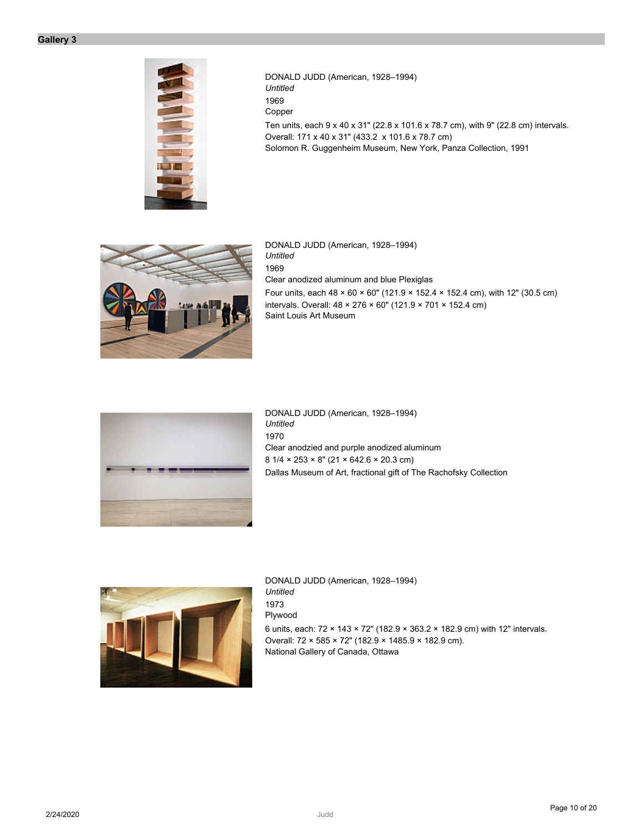

DONALD JUDD (American, 1928–1994) *Untitled* 1969 Copper Ten units, each 9 x 40 x 31" (22.8 x 101.6 x 78.7 cm), with 9" (22.8 cm) intervals. Overall: 171 x 40 x 31" (433.2 x 101.6 x 78.7 cm) Solomon R. Guggenheim Museum, New York, Panza Collection, 1991



DONALD JUDD (American, 1928–1994) *Untitled* 1969 Clear anodized aluminum and blue Plexiglas Four units, each  $48 \times 60 \times 60$ " (121.9  $\times$  152.4  $\times$  152.4 cm), with 12" (30.5 cm) intervals. Overall: 48 × 276 × 60" (121.9 × 701 × 152.4 cm) Saint Louis Art Museum



DONALD JUDD (American, 1928–1994) *Untitled* 1970 Clear anodzied and purple anodized aluminum 8 1/4 × 253 × 8" (21 × 642.6 × 20.3 cm) Dallas Museum of Art, fractional gift of The Rachofsky Collection



DONALD JUDD (American, 1928–1994) *Untitled* 1973 Plywood 6 units, each: 72 × 143 × 72" (182.9 × 363.2 × 182.9 cm) with 12" intervals. Overall: 72 × 585 × 72" (182.9 × 1485.9 × 182.9 cm). National Gallery of Canada, Ottawa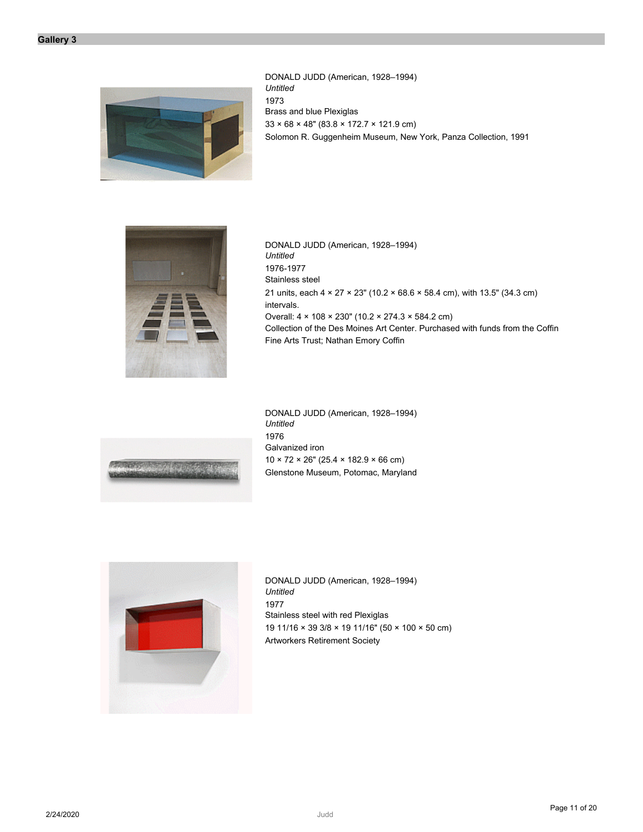

DONALD JUDD (American, 1928–1994) *Untitled* 1973 Brass and blue Plexiglas 33 × 68 × 48" (83.8 × 172.7 × 121.9 cm) Solomon R. Guggenheim Museum, New York, Panza Collection, 1991



DONALD JUDD (American, 1928–1994) *Untitled* 1976-1977 Stainless steel 21 units, each 4 × 27 × 23" (10.2 × 68.6 × 58.4 cm), with 13.5" (34.3 cm) intervals. Overall: 4 × 108 × 230" (10.2 × 274.3 × 584.2 cm) Collection of the Des Moines Art Center. Purchased with funds from the Coffin Fine Arts Trust; Nathan Emory Coffin



DONALD JUDD (American, 1928–1994) *Untitled* 1976 Galvanized iron  $10 \times 72 \times 26$ " (25.4  $\times$  182.9  $\times$  66 cm) Glenstone Museum, Potomac, Maryland



DONALD JUDD (American, 1928–1994) *Untitled* 1977 Stainless steel with red Plexiglas 19 11/16 × 39 3/8 × 19 11/16" (50 × 100 × 50 cm) Artworkers Retirement Society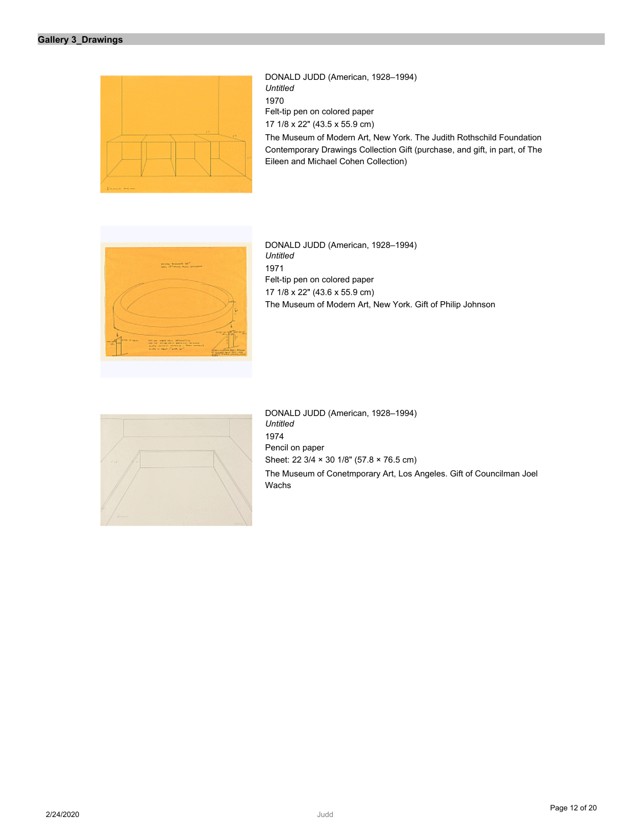| DONALD JUDD (American, 1928-1994)<br><b>Untitled</b><br>1970<br>Felt-tip pen on colored paper<br>17 1/8 x 22" (43.5 x 55.9 cm)<br>The Museum of Modern Art, New York. The Judith Rothschild Foundation<br>Contemporary Drawings Collection Gift (purchase, and gift, in part, of The<br>Eileen and Michael Cohen Collection) |
|------------------------------------------------------------------------------------------------------------------------------------------------------------------------------------------------------------------------------------------------------------------------------------------------------------------------------|
| DONALD JUDD (American, 1928-1994)<br><b>Untitled</b><br>1971<br>Felt-tip pen on colored paper<br>17 1/8 x 22" (43.6 x 55.9 cm)<br>The Museum of Modern Art, New York. Gift of Philip Johnson                                                                                                                                 |
| DONALD JUDD (American, 1928-1994)                                                                                                                                                                                                                                                                                            |

| $-11$                 |  |
|-----------------------|--|
|                       |  |
|                       |  |
| <b>All Commercial</b> |  |

*Untitled* 1974 Pencil on paper Sheet: 22 3/4 × 30 1/8" (57.8 × 76.5 cm) The Museum of Conetmporary Art, Los Angeles. Gift of Councilman Joel Wachs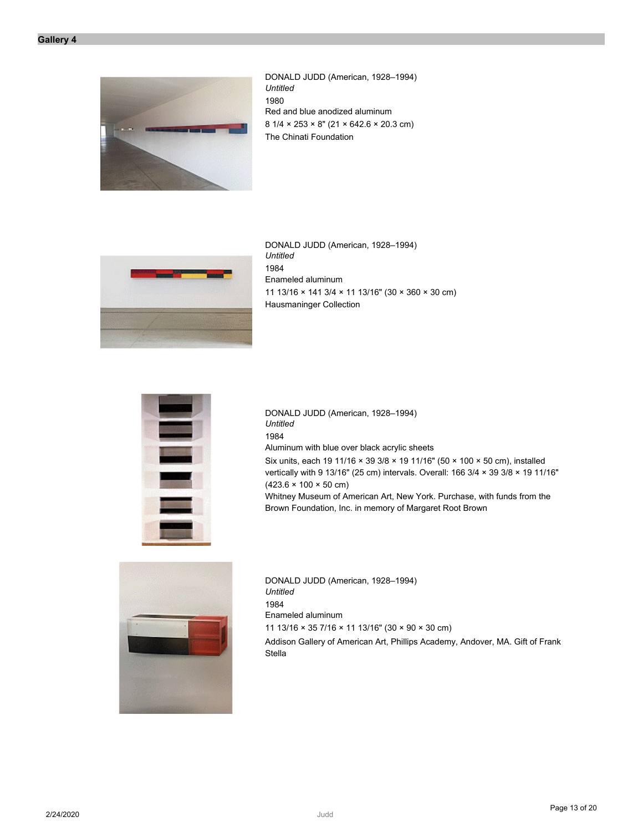

DONALD JUDD (American, 1928–1994) *Untitled* 1980 Red and blue anodized aluminum 8 1/4 × 253 × 8" (21 × 642.6 × 20.3 cm) The Chinati Foundation



DONALD JUDD (American, 1928–1994) *Untitled* 1984 Enameled aluminum 11 13/16 × 141 3/4 × 11 13/16" (30 × 360 × 30 cm) Hausmaninger Collection



DONALD JUDD (American, 1928–1994) *Untitled* 1984 Aluminum with blue over black acrylic sheets Six units, each 19 11/16 × 39 3/8 × 19 11/16" (50 × 100 × 50 cm), installed vertically with 9 13/16" (25 cm) intervals. Overall: 166 3/4 × 39 3/8 × 19 11/16"  $(423.6 \times 100 \times 50 \text{ cm})$ Whitney Museum of American Art, New York. Purchase, with funds from the

Brown Foundation, Inc. in memory of Margaret Root Brown



DONALD JUDD (American, 1928–1994) *Untitled* 1984 Enameled aluminum 11 13/16 × 35 7/16 × 11 13/16" (30 × 90 × 30 cm) Addison Gallery of American Art, Phillips Academy, Andover, MA. Gift of Frank Stella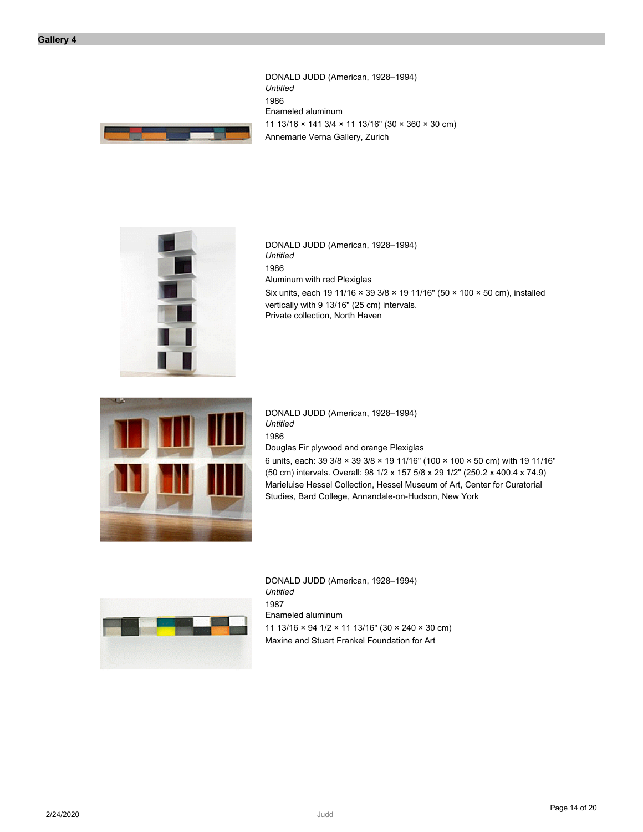DONALD JUDD (American, 1928–1994) *Untitled* 1986 Enameled aluminum 11 13/16 × 141 3/4 × 11 13/16" (30 × 360 × 30 cm) Annemarie Verna Gallery, Zurich





DONALD JUDD (American, 1928–1994) *Untitled* 1986 Aluminum with red Plexiglas Six units, each 19 11/16 × 39 3/8 × 19 11/16" (50 × 100 × 50 cm), installed vertically with 9 13/16" (25 cm) intervals. Private collection, North Haven



DONALD JUDD (American, 1928–1994) *Untitled* 1986 Douglas Fir plywood and orange Plexiglas

6 units, each: 39 3/8 × 39 3/8 × 19 11/16" (100 × 100 × 50 cm) with 19 11/16" (50 cm) intervals. Overall: 98 1/2 x 157 5/8 x 29 1/2" (250.2 x 400.4 x 74.9) Marieluise Hessel Collection, Hessel Museum of Art, Center for Curatorial Studies, Bard College, Annandale-on-Hudson, New York



DONALD JUDD (American, 1928–1994) *Untitled* 1987 Enameled aluminum 11 13/16 × 94 1/2 × 11 13/16" (30 × 240 × 30 cm) Maxine and Stuart Frankel Foundation for Art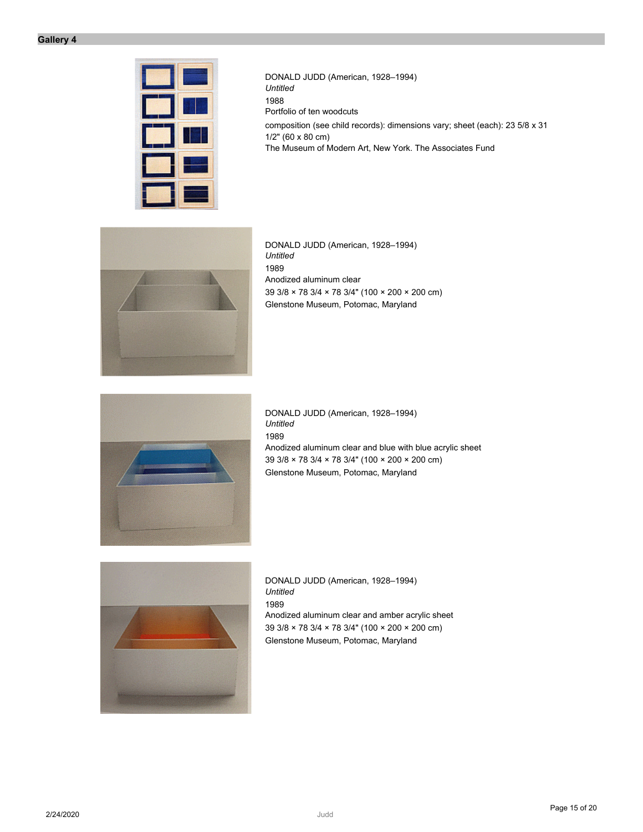

DONALD JUDD (American, 1928–1994) *Untitled* 1988 Portfolio of ten woodcuts composition (see child records): dimensions vary; sheet (each): 23 5/8 x 31 1/2" (60 x 80 cm) The Museum of Modern Art, New York. The Associates Fund



DONALD JUDD (American, 1928–1994) *Untitled* 1989 Anodized aluminum clear 39 3/8 × 78 3/4 × 78 3/4" (100 × 200 × 200 cm) Glenstone Museum, Potomac, Maryland



DONALD JUDD (American, 1928–1994) *Untitled* 1989 Anodized aluminum clear and blue with blue acrylic sheet 39 3/8 × 78 3/4 × 78 3/4" (100 × 200 × 200 cm) Glenstone Museum, Potomac, Maryland



DONALD JUDD (American, 1928–1994) *Untitled* 1989 Anodized aluminum clear and amber acrylic sheet 39 3/8 × 78 3/4 × 78 3/4" (100 × 200 × 200 cm) Glenstone Museum, Potomac, Maryland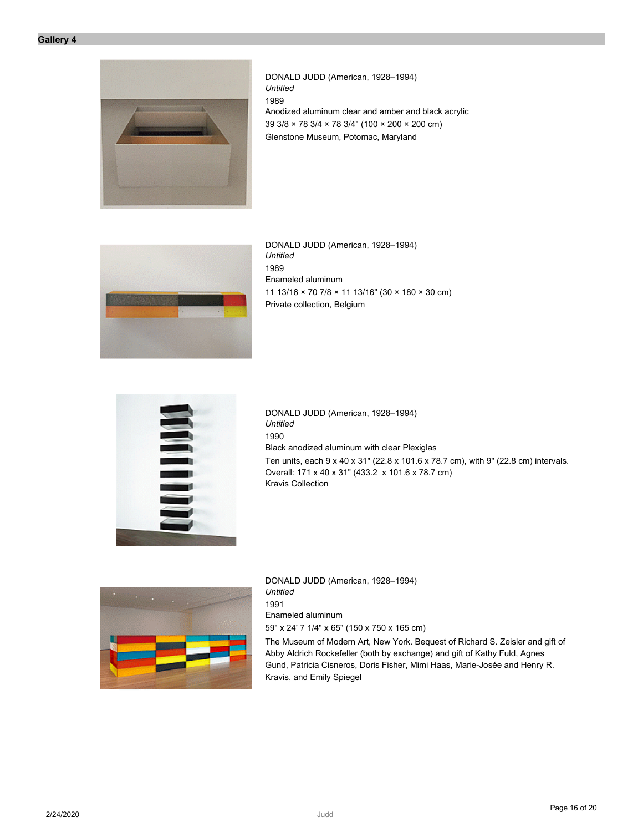

DONALD JUDD (American, 1928–1994) *Untitled* 1989 Anodized aluminum clear and amber and black acrylic 39 3/8 × 78 3/4 × 78 3/4" (100 × 200 × 200 cm) Glenstone Museum, Potomac, Maryland



DONALD JUDD (American, 1928–1994) *Untitled* 1989 Enameled aluminum 11 13/16 × 70 7/8 × 11 13/16" (30 × 180 × 30 cm) Private collection, Belgium



DONALD JUDD (American, 1928–1994) *Untitled* 1990 Black anodized aluminum with clear Plexiglas Ten units, each 9 x 40 x 31" (22.8 x 101.6 x 78.7 cm), with 9" (22.8 cm) intervals. Overall: 171 x 40 x 31" (433.2 x 101.6 x 78.7 cm) Kravis Collection



DONALD JUDD (American, 1928–1994) *Untitled* 1991 Enameled aluminum 59" x 24' 7 1/4" x 65" (150 x 750 x 165 cm) The Museum of Modern Art, New York. Bequest of Richard S. Zeisler and gift of

Abby Aldrich Rockefeller (both by exchange) and gift of Kathy Fuld, Agnes Gund, Patricia Cisneros, Doris Fisher, Mimi Haas, Marie-Josée and Henry R. Kravis, and Emily Spiegel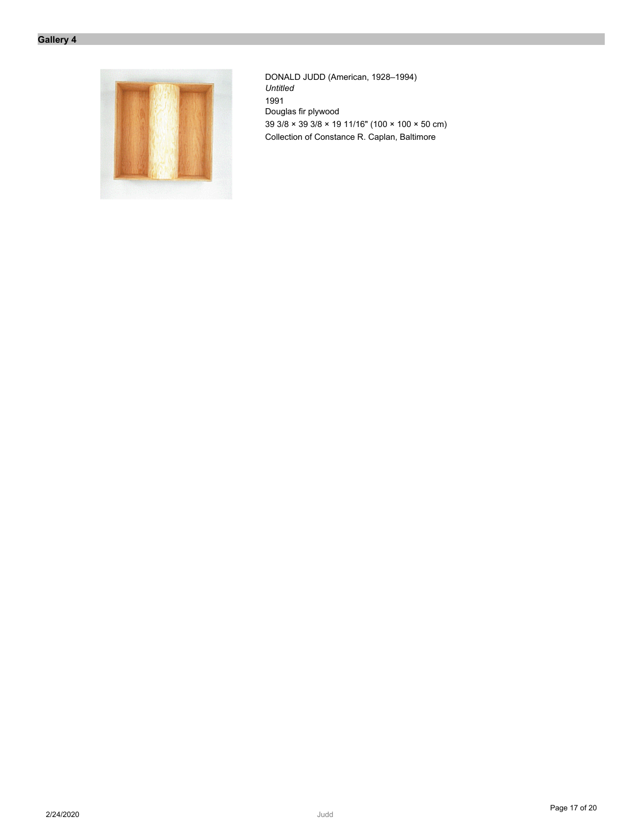

DONALD JUDD (American, 1928–1994) *Untitled* 1991 Douglas fir plywood 39 3/8 × 39 3/8 × 19 11/16" (100 × 100 × 50 cm) Collection of Constance R. Caplan, Baltimore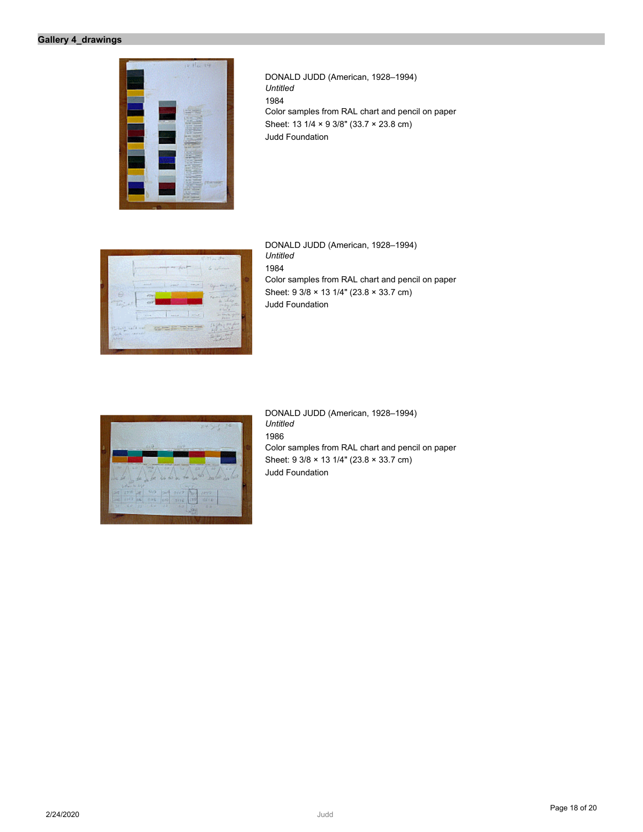

DONALD JUDD (American, 1928–1994) *Untitled* 1984 Color samples from RAL chart and pencil on paper Sheet: 13 1/4 × 9 3/8" (33.7 × 23.8 cm) Judd Foundation



DONALD JUDD (American, 1928–1994) *Untitled* 1984 Color samples from RAL chart and pencil on paper Sheet: 9 3/8 × 13 1/4" (23.8 × 33.7 cm) Judd Foundation



DONALD JUDD (American, 1928–1994) *Untitled* 1986 Color samples from RAL chart and pencil on paper Sheet: 9 3/8 × 13 1/4" (23.8 × 33.7 cm) Judd Foundation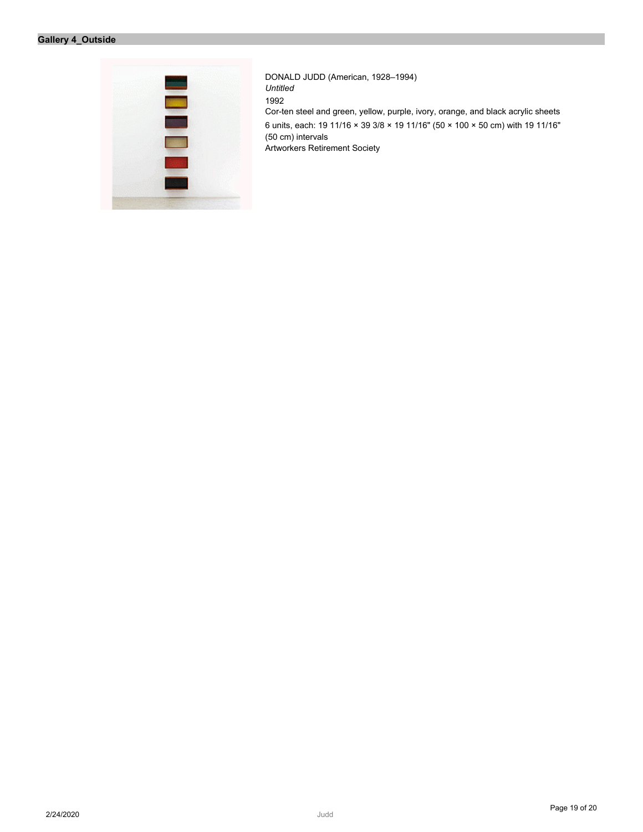# **Gallery 4\_Outside**



DONALD JUDD (American, 1928–1994) *Untitled* 1992 Cor-ten steel and green, yellow, purple, ivory, orange, and black acrylic sheets 6 units, each: 19 11/16 × 39 3/8 × 19 11/16" (50 × 100 × 50 cm) with 19 11/16" (50 cm) intervals Artworkers Retirement Society